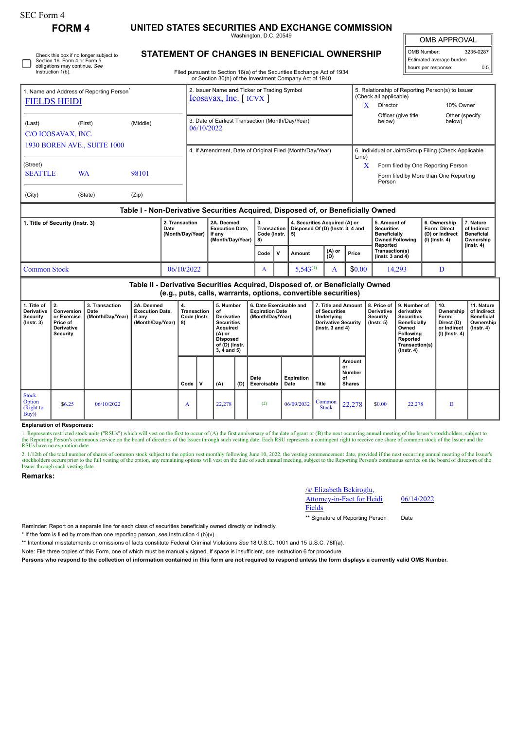**FORM 4 UNITED STATES SECURITIES AND EXCHANGE COMMISSION**

Washington, D.C. 20549 **STATEMENT OF CHANGES IN BENEFICIAL OWNERSHIP** OMB APPROVAL

 $\mathbb{I}$ 

| OMB Number:              | 3235-0287 |
|--------------------------|-----------|
| Estimated average burden |           |
| hours per response:      | 0.5       |

|                                                                               | Check this box if no longer subject to<br>Section 16. Form 4 or Form 5<br>obligations may continue. See |          |                                                                        |                                                                    |                                           |                                                                                  |                                    | Estimated average burden<br>hours per response:                             |                                                                          |                                                            |
|-------------------------------------------------------------------------------|---------------------------------------------------------------------------------------------------------|----------|------------------------------------------------------------------------|--------------------------------------------------------------------|-------------------------------------------|----------------------------------------------------------------------------------|------------------------------------|-----------------------------------------------------------------------------|--------------------------------------------------------------------------|------------------------------------------------------------|
| Instruction 1(b).                                                             |                                                                                                         |          |                                                                        | or Section 30(h) of the Investment Company Act of 1940             |                                           | Filed pursuant to Section 16(a) of the Securities Exchange Act of 1934           |                                    |                                                                             |                                                                          |                                                            |
| <b>FIELDS HEIDI</b>                                                           | 1. Name and Address of Reporting Person <sup>®</sup>                                                    |          | 2. Issuer Name and Ticker or Trading Symbol<br>$Icosavax, Inc.$ [ICVX] |                                                                    |                                           | X                                                                                | (Check all applicable)<br>Director | 5. Relationship of Reporting Person(s) to Issuer                            | 10% Owner                                                                |                                                            |
| (Last)<br>C/O ICOSAVAX, INC.                                                  | (First)                                                                                                 | (Middle) | 06/10/2022                                                             | 3. Date of Earliest Transaction (Month/Day/Year)                   |                                           |                                                                                  |                                    | Officer (give title<br>below)                                               | Other (specify<br>below)                                                 |                                                            |
|                                                                               | <b>1930 BOREN AVE., SUITE 1000</b>                                                                      |          |                                                                        | 4. If Amendment, Date of Original Filed (Month/Day/Year)           |                                           |                                                                                  | Line)                              |                                                                             | 6. Individual or Joint/Group Filing (Check Applicable                    |                                                            |
| (Street)                                                                      |                                                                                                         |          |                                                                        |                                                                    |                                           |                                                                                  | X                                  |                                                                             | Form filed by One Reporting Person                                       |                                                            |
| <b>SEATTLE</b><br><b>WA</b><br>98101                                          |                                                                                                         |          |                                                                        |                                                                    |                                           |                                                                                  |                                    | Person                                                                      | Form filed by More than One Reporting                                    |                                                            |
| (City)                                                                        | (State)                                                                                                 | (Zip)    |                                                                        |                                                                    |                                           |                                                                                  |                                    |                                                                             |                                                                          |                                                            |
|                                                                               |                                                                                                         |          |                                                                        |                                                                    |                                           | Table I - Non-Derivative Securities Acquired, Disposed of, or Beneficially Owned |                                    |                                                                             |                                                                          |                                                            |
| 2. Transaction<br>1. Title of Security (Instr. 3)<br>Date<br>(Month/Day/Year) |                                                                                                         |          |                                                                        | 2A. Deemed<br><b>Execution Date.</b><br>if any<br>(Month/Day/Year) | 3.<br>Transaction<br>Code (Instr.<br>  8) | 4. Securities Acquired (A) or<br>Disposed Of (D) (Instr. 3, 4 and<br>5)          |                                    | 5. Amount of<br><b>Securities</b><br>Beneficially<br><b>Owned Following</b> | 6. Ownership<br><b>Form: Direct</b><br>(D) or Indirect<br>(I) (Instr. 4) | 7. Nature<br>of Indirect<br><b>Beneficial</b><br>Ownership |

|                     | (Month/Day/Year) | ır anv<br>(Month/Dav/Year) | Code (Instr.   5)<br>  8) |              |                 |               |        | <b>Beneficially</b><br><b>Owned Following</b><br>Reported | ∥ (ג) or indirect<br>  (I) (Instr. 4) | ⊩ Beneπciai<br>Ownership<br>$($ lnstr. 4 $)$ |
|---------------------|------------------|----------------------------|---------------------------|--------------|-----------------|---------------|--------|-----------------------------------------------------------|---------------------------------------|----------------------------------------------|
|                     |                  |                            | Code                      | $\mathbf{v}$ | Amount          | (A) or<br>(D) | Price  | Transaction(s)<br>( $lnstr. 3 and 4$ )                    |                                       |                                              |
| <b>Common Stock</b> | 06/10/2022       |                            |                           |              | 543(1)<br>ບ.ບπມ |               | \$0.00 | 4.293                                                     |                                       |                                              |

**Table II - Derivative Securities Acquired, Disposed of, or Beneficially Owned (e.g., puts, calls, warrants, options, convertible securities)**

| 1. Title of<br>Derivative<br><b>Security</b><br>$($ lnstr. 3 $)$ | 2.<br>Conversion<br>or Exercise<br>Price of<br><b>Derivative</b><br>Security | 3. Transaction<br>Date<br>(Month/Day/Year) | 3A. Deemed<br><b>Execution Date,</b><br>if any<br>(Month/Day/Year) | 4.<br>Transaction<br>Code (Instr.<br>8) |   | 5. Number<br>οf<br>Derivative<br><b>Securities</b><br>Acquired<br>$(A)$ or<br><b>Disposed</b><br>of (D) (Instr.<br>$3, 4$ and $5)$ |     | 6. Date Exercisable and<br><b>Expiration Date</b><br>(Month/Day/Year) |                           | 7. Title and Amount<br>of Securities<br>Underlying<br><b>Derivative Security</b><br>( $lnstr. 3 and 4$ ) |                                                      | 8. Price of<br><b>Derivative</b><br><b>Security</b><br>$($ lnstr. 5 $)$ | 9. Number of<br>derivative<br><b>Securities</b><br>Beneficially<br>Owned<br><b>Following</b><br>Reported<br>Transaction(s)<br>$($ Instr. 4 $)$ | 10.<br>Ownership<br>Form:<br>Direct (D)<br>or Indirect<br>  (I) (Instr. 4) | 11. Nature<br>of Indirect<br><b>Beneficial</b><br>Ownership<br>(Instr. 4) |
|------------------------------------------------------------------|------------------------------------------------------------------------------|--------------------------------------------|--------------------------------------------------------------------|-----------------------------------------|---|------------------------------------------------------------------------------------------------------------------------------------|-----|-----------------------------------------------------------------------|---------------------------|----------------------------------------------------------------------------------------------------------|------------------------------------------------------|-------------------------------------------------------------------------|------------------------------------------------------------------------------------------------------------------------------------------------|----------------------------------------------------------------------------|---------------------------------------------------------------------------|
|                                                                  |                                                                              |                                            |                                                                    | Code                                    | v | (A)                                                                                                                                | (D) | Date<br>Exercisable                                                   | <b>Expiration</b><br>Date | Title                                                                                                    | Amount<br>or<br><b>Number</b><br>οf<br><b>Shares</b> |                                                                         |                                                                                                                                                |                                                                            |                                                                           |
| <b>Stock</b><br>Option<br>(Right to<br>Buy)                      | \$6.25                                                                       | 06/10/2022                                 |                                                                    | A                                       |   | 22,278                                                                                                                             |     | (2)                                                                   | 06/09/2032                | Common<br><b>Stock</b>                                                                                   | 22,278                                               | \$0.00                                                                  | 22,278                                                                                                                                         | D                                                                          |                                                                           |

**Explanation of Responses:**

1. Represents restricted stock units ("RSUs") which will vest on the first to occur of (A) the first anniversary of the date of grant or (B) the next occurring annual meeting of the Issuer's stockholders, subject to the Reporting Person's continuous service on the board of directors of the Issuer through such vesting date. Each RSU represents a contingent right to receive one share of common stock of the Issuer and the RSUs have no expiration date.

2. 1/12th of the total number of shares of common stock subject to the option vest monthly following June 10, 2022, the vesting commencement date, provided if the next occurring annual meeting of the Issuer's stockholders Issuer through such vesting date.

## **Remarks:**

/s/ Elizabeth Bekiroglu, Attorney-in-Fact for Heidi Fields \*\* Signature of Reporting Person Date

06/14/2022

Reminder: Report on a separate line for each class of securities beneficially owned directly or indirectly.

\* If the form is filed by more than one reporting person, *see* Instruction 4 (b)(v).

\*\* Intentional misstatements or omissions of facts constitute Federal Criminal Violations *See* 18 U.S.C. 1001 and 15 U.S.C. 78ff(a).

Note: File three copies of this Form, one of which must be manually signed. If space is insufficient, *see* Instruction 6 for procedure.

**Persons who respond to the collection of information contained in this form are not required to respond unless the form displays a currently valid OMB Number.**